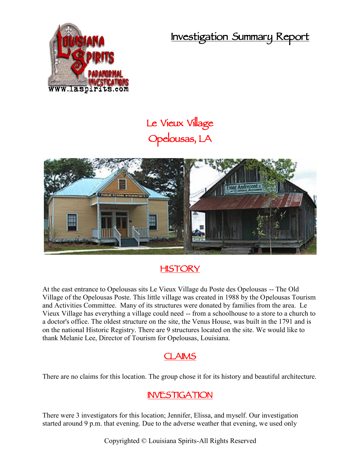**Investigation Summary Report**



# **Le Vieux Village Opelousas, LA**



# **HISTORY**

At the east entrance to Opelousas sits Le Vieux Village du Poste des Opelousas -- The Old Village of the Opelousas Poste. This little village was created in 1988 by the Opelousas Tourism and Activities Committee. Many of its structures were donated by families from the area. Le Vieux Village has everything a village could need -- from a schoolhouse to a store to a church to a doctor's office. The oldest structure on the site, the Venus House, was built in the 1791 and is on the national Historic Registry. There are 9 structures located on the site. We would like to thank Melanie Lee, Director of Tourism for Opelousas, Louisiana.

#### **CLAIMS**

There are no claims for this location. The group chose it for its history and beautiful architecture.

#### **INVESTIGATION**

There were 3 investigators for this location; Jennifer, Elissa, and myself. Our investigation started around 9 p.m. that evening. Due to the adverse weather that evening, we used only

Copyrighted © Louisiana Spirits-All Rights Reserved